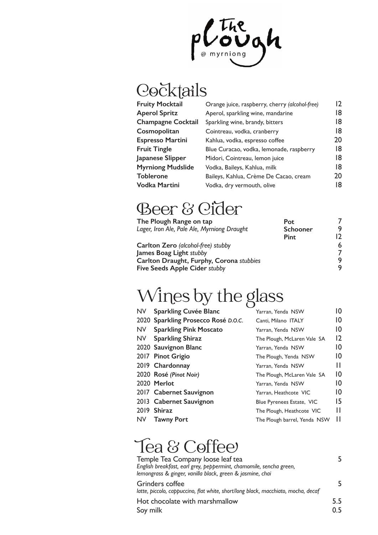

# Cocktails

| Orange juice, raspberry, cherry (alcohol-free) | 12 |
|------------------------------------------------|----|
| Aperol, sparkling wine, mandarine              | 18 |
| Sparkling wine, brandy, bitters                | 18 |
| Cointreau, vodka, cranberry                    | 18 |
| Kahlua, vodka, espresso coffee                 | 20 |
| Blue Curacao, vodka, lemonade, raspberry       | 18 |
| Midori, Cointreau, lemon juice                 | 18 |
| Vodka, Baileys, Kahlua, milk                   | 18 |
| Baileys, Kahlua, Crème De Cacao, cream         | 20 |
| Vodka, dry vermouth, olive                     | 18 |
|                                                |    |

#### Beer & Cider

| The Plough Range on tap                     | Pot      |    |
|---------------------------------------------|----------|----|
| Lager, Iron Ale, Pale Ale, Myrniong Draught | Schooner | q  |
|                                             | Pint     | מו |
| <b>Carlton Zero</b> (alcohol-free) stubby   |          | 6  |
| James Boag Light stubby                     |          |    |
| Carlton Draught, Furphy, Corona stubbies    |          |    |
| <b>Five Seeds Apple Cider stubby</b>        |          |    |

## Wines by the glass

| <b>Sparkling Cuvée Blanc</b>        | Yarran, Yenda NSW            | 10              |
|-------------------------------------|------------------------------|-----------------|
| 2020 Sparkling Prosecco Rosé D.O.C. | Canti, Milano ITALY          | 10              |
| <b>Sparkling Pink Moscato</b>       | Yarran, Yenda NSW            | 10              |
| <b>Sparkling Shiraz</b>             | The Plough, McLaren Vale SA  | 12              |
| 2020 Sauvignon Blanc                | Yarran, Yenda NSW            | 10              |
| 2017 Pinot Grigio                   | The Plough, Yenda NSW        | 10              |
| 2019 Chardonnay                     | Yarran, Yenda NSW            | Ш               |
| 2020 Rosé (Pinot Noir)              | The Plough, McLaren Vale SA  | $\overline{10}$ |
| 2020 Merlot                         | Yarran, Yenda NSW            | $\overline{10}$ |
| 2017 Cabernet Sauvignon             | Yarran, Heathcote VIC        | $\overline{10}$ |
| 2013 Cabernet Sauvignon             | Blue Pyrenees Estate, VIC    | 15              |
| 2019 Shiraz                         | The Plough, Heathcote VIC    | Н               |
| <b>Tawny Port</b>                   | The Plough barrel, Yenda NSW | Ш               |
|                                     |                              |                 |

## Tea & Coffee

| Temple Tea Company loose leaf tea                                  |  |
|--------------------------------------------------------------------|--|
| English breakfast, earl grey, peppermint, chamomile, sencha green, |  |
| lemongrass & ginger, vanilla black, green & jasmine, chai          |  |

Grinders coffee 5 *latte, piccolo, cappuccino, flat white, short/long black, macchiato, mocha, decaf*  Hot chocolate with marshmallow 5.5 Soy milk 0.5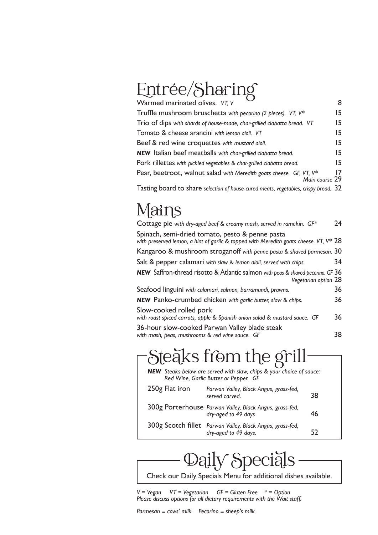# Entrée/Sharing

| Warmed marinated olives. VT, V                                                        | 8   |
|---------------------------------------------------------------------------------------|-----|
| Truffle mushroom bruschetta with pecorino (2 pieces). VT, V*                          | 15. |
| Trio of dips with shards of house-made, char-grilled ciabatta bread. VT               | 15  |
| Tomato & cheese arancini with lemon aioli. VT                                         | 15  |
| Beef & red wine croquettes with mustard aioli.                                        | 15  |
| <b>NEW</b> Italian beef meatballs with char-grilled ciabatta bread.                   | 15. |
| Pork rillettes with pickled vegetables & char-grilled ciabatta bread.                 | 15. |
| Pear, beetroot, walnut salad with Meredith goats cheese. GF, VT, V*<br>Main course 29 | 17  |
| Tasting board to share selection of house-cured meats, vegetables, crispy bread. 32   |     |

#### Mains

| Cottage pie with dry-aged beef & creamy mash, served in ramekin. $GF^*$                                                                     | 24 |
|---------------------------------------------------------------------------------------------------------------------------------------------|----|
| Spinach, semi-dried tomato, pesto & penne pasta<br>with preserved lemon, a hint of garlic & topped with Meredith goats cheese. VT, $V^*$ 28 |    |
| Kangaroo & mushroom stroganoff with penne pasta & shaved parmesan. 30                                                                       |    |
| Salt & pepper calamari with slaw & lemon aioli, served with chips.                                                                          | 34 |
| <b>NEW</b> Saffron-thread risotto & Atlantic salmon with peas & shaved pecorino. GF 36<br>Vegetarian option 28                              |    |
| Seafood linguini with calamari, salmon, barramundi, prawns.                                                                                 | 36 |
| <b>NEW</b> Panko-crumbed chicken with garlic butter, slaw & chips.                                                                          | 36 |
| Slow-cooked rolled pork<br>with roast spiced carrots, apple & Spanish onion salad & mustard sauce. GF                                       | 36 |
| 36-hour slow-cooked Parwan Valley blade steak<br>with mash, peas, mushrooms & red wine sauce. GF                                            | 38 |
|                                                                                                                                             |    |

#### Steaks from the grill-

|                | NEW Steaks below are served with slaw, chips & your choice of sauce:<br>Red Wine, Garlic Butter or Pepper. GF |    |
|----------------|---------------------------------------------------------------------------------------------------------------|----|
| 250g Flat iron | Parwan Valley, Black Angus, grass-fed,<br>served carved.                                                      | 38 |
|                | 300g Porterhouse Parwan Valley, Black Angus, grass-fed,<br>dry-aged to 49 days                                | 46 |
|                | 300g Scotch fillet Parwan Valley, Black Angus, grass-fed,<br>dry-aged to 49 days.                             | 52 |

## Daily Special

Check our Daily Specials Menu for additional dishes available.

*V = Vegan VT = Vegetarian GF = Gluten Free \* = Option Please discuss options for all dietary requirements with the Wait staff.*